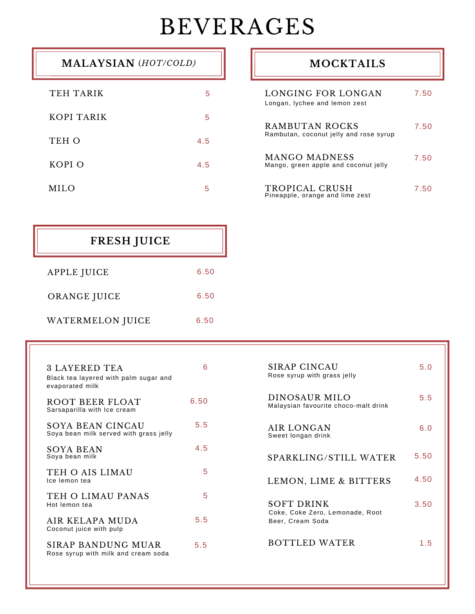# BEVERAGES

╗

| <b>MALAYSIAN</b> (HOT/COLD) |     |
|-----------------------------|-----|
| TEH TARIK                   | 5   |
| KOPI TARIK                  | 5   |
| TEH O                       | 4.5 |
| KOPI O                      | 4.5 |
| MH.O                        | 5   |

### **MOCKTAILS**

| LONGING FOR LONGAN<br>Longan, lychee and lemon zest      | 7.50 |
|----------------------------------------------------------|------|
| RAMBUTAN ROCKS<br>Rambutan, coconut jelly and rose syrup | 7.50 |
| MANGO MADNESS<br>Mango, green apple and coconut jelly    | 7.50 |
| TROPICAL CRUSH<br>Pineapple, orange and lime zest        | 750  |

| <b>FRESH JUICE</b> |      |
|--------------------|------|
| APPLE JUICE        | 6.50 |
| ORANGE JUICE       | 6.50 |
| WATERMELON JUICE   | 6.50 |

| 3 LAYERED TEA<br>Black tea layered with palm sugar and<br>evaporated milk | 6    | SIRAP CINCAU<br>Rose syrup with grass jelly           | 5.0  |
|---------------------------------------------------------------------------|------|-------------------------------------------------------|------|
| ROOT BEER FLOAT<br>Sarsaparilla with Ice cream                            | 6.50 | DINOSAUR MILO<br>Malaysian favourite choco-malt drink | 5.5  |
| SOYA BEAN CINCAU<br>Soya bean milk served with grass jelly                | 5.5  | AIR LONGAN<br>Sweet longan drink                      | 6.0  |
| SOYA BEAN<br>Soya bean milk                                               | 4.5  | SPARKLING/STILL WATER                                 | 5.50 |
| TEH O AIS LIMAU<br>Ice lemon tea                                          | 5    | LEMON, LIME & BITTERS                                 | 4.50 |
| TEH O LIMAU PANAS<br>Hot lemon tea                                        | 5    | <b>SOFT DRINK</b><br>Coke, Coke Zero, Lemonade, Root  | 3.50 |
| AIR KELAPA MUDA<br>Coconut juice with pulp                                | 5.5  | Beer, Cream Soda                                      |      |
| <b>SIRAP BANDUNG MUAR</b><br>Rose syrup with milk and cream soda          | 5.5  | <b>BOTTLED WATER</b>                                  | 1.5  |
|                                                                           |      |                                                       |      |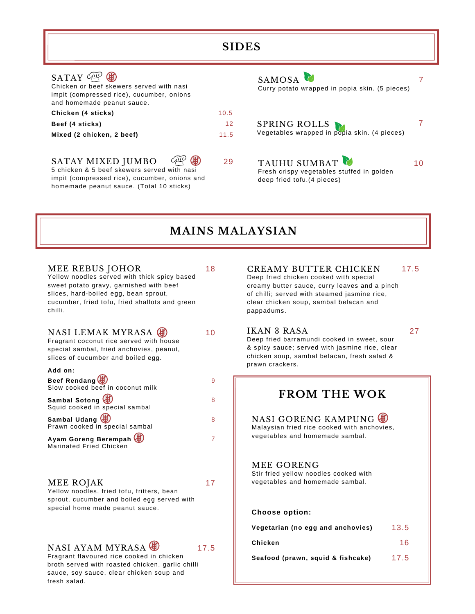| <b>SIDES</b><br>SAMOSA <sup>2</sup><br>Curry potato wrapped in popia skin. (5 pieces)<br>10.5<br>12<br>SPRING ROLLS<br>Vegetables wrapped in popia skin. (4 pieces)<br>11.5 |    |                                                                                         |    |
|-----------------------------------------------------------------------------------------------------------------------------------------------------------------------------|----|-----------------------------------------------------------------------------------------|----|
| SATAY $\mathbb{C}$ $\mathbb{C}$<br>Chicken or beef skewers served with nasi<br>impit (compressed rice), cucumber, onions<br>and homemade peanut sauce.                      |    |                                                                                         |    |
| Chicken (4 sticks)                                                                                                                                                          |    |                                                                                         |    |
| Beef (4 sticks)                                                                                                                                                             |    |                                                                                         |    |
| Mixed (2 chicken, 2 beef)                                                                                                                                                   |    |                                                                                         |    |
| SATAY MIXED JUMBO<br>5 chicken & 5 beef skewers served with nasi<br>impit (compressed rice), cucumber, onions and<br>homemade peanut sauce. (Total 10 sticks)               | 29 | TAUHU SUMBAT<br>Fresh crispy vegetables stuffed in golden<br>deep fried tofu.(4 pieces) | 10 |

### **MAINS MALAYSIAN**

| MEE REBUS JOHOR<br>Yellow noodles served with thick spicy based<br>sweet potato gravy, garnished with beef<br>slices, hard-boiled egg, bean sprout,<br>cucumber, fried tofu, fried shallots and green<br>chilli. | 18             | <b>CREAMY BUTTER CHICKEN</b><br>Deep fried chicken cooked with special<br>creamy butter sauce, curry leaves and a pinch<br>of chilli; served with steamed jasmine rice,<br>clear chicken soup, sambal belacan and<br>pappadums. | 17.5 |
|------------------------------------------------------------------------------------------------------------------------------------------------------------------------------------------------------------------|----------------|---------------------------------------------------------------------------------------------------------------------------------------------------------------------------------------------------------------------------------|------|
| NASI LEMAK MYRASA<br>Fragrant coconut rice served with house<br>special sambal, fried anchovies, peanut,<br>slices of cucumber and boiled egg.<br>Add on:                                                        | 10             | IKAN 3 RASA<br>Deep fried barramundi cooked in sweet, sour<br>& spicy sauce; served with jasmine rice, clear<br>chicken soup, sambal belacan, fresh salad &<br>prawn crackers.                                                  | 27   |
| Beef Rendang (4)                                                                                                                                                                                                 | 9              |                                                                                                                                                                                                                                 |      |
| Slow cooked beef in coconut milk                                                                                                                                                                                 |                | <b>FROM THE WOK</b>                                                                                                                                                                                                             |      |
| Sambal Sotong (4)<br>Squid cooked in special sambal                                                                                                                                                              | 8              |                                                                                                                                                                                                                                 |      |
| Sambal Udang (<br>Prawn cooked in special sambal                                                                                                                                                                 | 8              | NASI GORENG KAMPUNG<br>Malaysian fried rice cooked with anchovies,                                                                                                                                                              |      |
| Ayam Goreng Berempah<br>Marinated Fried Chicken                                                                                                                                                                  | $\overline{7}$ | vegetables and homemade sambal.                                                                                                                                                                                                 |      |
| MEE ROJAK<br>Yellow noodles, fried tofu, fritters, bean<br>sprout, cucumber and boiled egg served with                                                                                                           | 17             | MEE GORENG<br>Stir fried yellow noodles cooked with<br>vegetables and homemade sambal.                                                                                                                                          |      |
| special home made peanut sauce.                                                                                                                                                                                  |                | Choose option:                                                                                                                                                                                                                  |      |
|                                                                                                                                                                                                                  |                | Vegetarian (no egg and anchovies)                                                                                                                                                                                               | 13.5 |
| NASI AYAM MYRASA                                                                                                                                                                                                 | 17.5           | Chicken                                                                                                                                                                                                                         | 16   |
|                                                                                                                                                                                                                  |                |                                                                                                                                                                                                                                 |      |

27

## PUNG  $\circledast$ ith anchovies, mbal. ed with mbal.  $WOK$

| Vegetarian (no egg and anchovies) | 13.5 |
|-----------------------------------|------|
| Chicken                           | 16   |
| Seafood (prawn, squid & fishcake) | 17.5 |

Fragrant flavoured rice cooked in chicken broth served with roasted chicken, garlic chilli sauce, soy sauce, clear chicken soup and fresh salad.